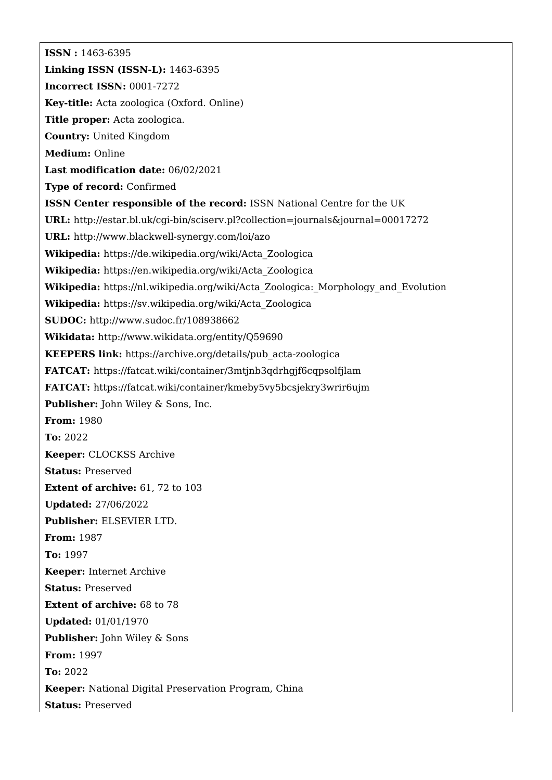**ISSN :** 1463-6395 **Linking ISSN (ISSN-L):** 1463-6395 **Incorrect ISSN:** 0001-7272 **Key-title:** Acta zoologica (Oxford. Online) **Title proper:** Acta zoologica. **Country:** United Kingdom **Medium:** Online **Last modification date:** 06/02/2021 **Type of record:** Confirmed **ISSN Center responsible of the record:** ISSN National Centre for the UK **URL:** <http://estar.bl.uk/cgi-bin/sciserv.pl?collection=journals&journal=00017272> **URL:** <http://www.blackwell-synergy.com/loi/azo> **Wikipedia:** [https://de.wikipedia.org/wiki/Acta\\_Zoologica](https://de.wikipedia.org/wiki/Acta_Zoologica) **Wikipedia:** [https://en.wikipedia.org/wiki/Acta\\_Zoologica](https://en.wikipedia.org/wiki/Acta_Zoologica) **Wikipedia:** [https://nl.wikipedia.org/wiki/Acta\\_Zoologica:\\_Morphology\\_and\\_Evolution](https://nl.wikipedia.org/wiki/Acta_Zoologica:_Morphology_and_Evolution) **Wikipedia:** [https://sv.wikipedia.org/wiki/Acta\\_Zoologica](https://sv.wikipedia.org/wiki/Acta_Zoologica) **SUDOC:** <http://www.sudoc.fr/108938662> **Wikidata:** <http://www.wikidata.org/entity/Q59690> **KEEPERS link:** [https://archive.org/details/pub\\_acta-zoologica](https://archive.org/details/pub_acta-zoologica) **FATCAT:** <https://fatcat.wiki/container/3mtjnb3qdrhgjf6cqpsolfjlam> **FATCAT:** <https://fatcat.wiki/container/kmeby5vy5bcsjekry3wrir6ujm> **Publisher:** John Wiley & Sons, Inc. **From:** 1980 **To:** 2022 **Keeper:** CLOCKSS Archive **Status:** Preserved **Extent of archive:** 61, 72 to 103 **Updated:** 27/06/2022 **Publisher:** ELSEVIER LTD. **From:** 1987 **To:** 1997 **Keeper:** Internet Archive **Status:** Preserved **Extent of archive:** 68 to 78 **Updated:** 01/01/1970 **Publisher:** John Wiley & Sons **From:** 1997 **To:** 2022 **Keeper:** National Digital Preservation Program, China **Status:** Preserved